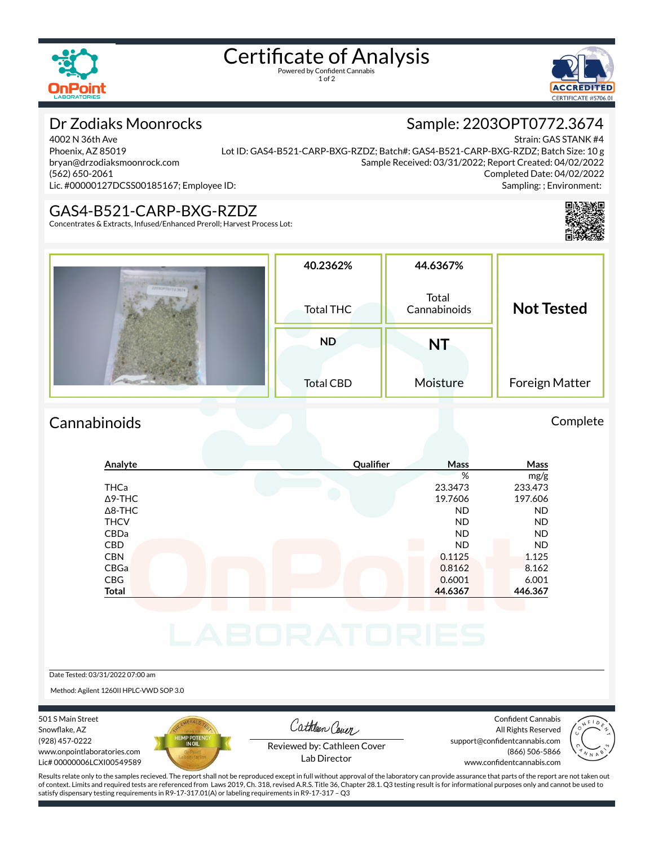

# Certificate of Analysis

1 of 2



Sample: 2203OPT0772.3674

# Dr Zodiaks Moonrocks

4002 N 36th Ave Phoenix, AZ 85019 bryan@drzodiaksmoonrock.com (562) 650-2061 Lic. #00000127DCSS00185167; Employee ID:

Strain: GAS STANK #4 Lot ID: GAS4-B521-CARP-BXG-RZDZ; Batch#: GAS4-B521-CARP-BXG-RZDZ; Batch Size: 10 g Sample Received: 03/31/2022; Report Created: 04/02/2022 Completed Date: 04/02/2022 Sampling: ; Environment:

#### GAS4-B521-CARP-BXG-RZDZ

Concentrates & Extracts, Infused/Enhanced Preroll; Harvest Process Lot:



### Cannabinoids Complete

### **Analyte Quali×er Mass Mass** % mg/g THCa 23.3473 233.473 Δ9-THC 19.7606 197.606 Δ8-THC ND ND THCV ND ND CBDa ND ND CBD ND ND  $CD$  0.1125  $0.1125$  1.125 CBGa 0.8162 8.162 CBG 0.6001 6.001 **Total 44.6367 446.367**

Date Tested: 03/31/2022 07:00 am

Method: Agilent 1260II HPLC-VWD SOP 3.0

501 S Main Street Snowflake, AZ (928) 457-0222 www.onpointlaboratories.com Lic# 00000006LCXI00549589



Cathleen Cover

Confident Cannabis All Rights Reserved support@confidentcannabis.com (866) 506-5866



Reviewed by: Cathleen Cover Lab Director

www.confidentcannabis.com

Results relate only to the samples recieved. The report shall not be reproduced except in full without approval of the laboratory can provide assurance that parts of the report are not taken out of context. Limits and required tests are referenced from Laws 2019, Ch. 318, revised A.R.S. Title 36, Chapter 28.1. Q3 testing result is for informational purposes only and cannot be used to satisfy dispensary testing requirements in R9-17-317.01(A) or labeling requirements in R9-17-317 – Q3